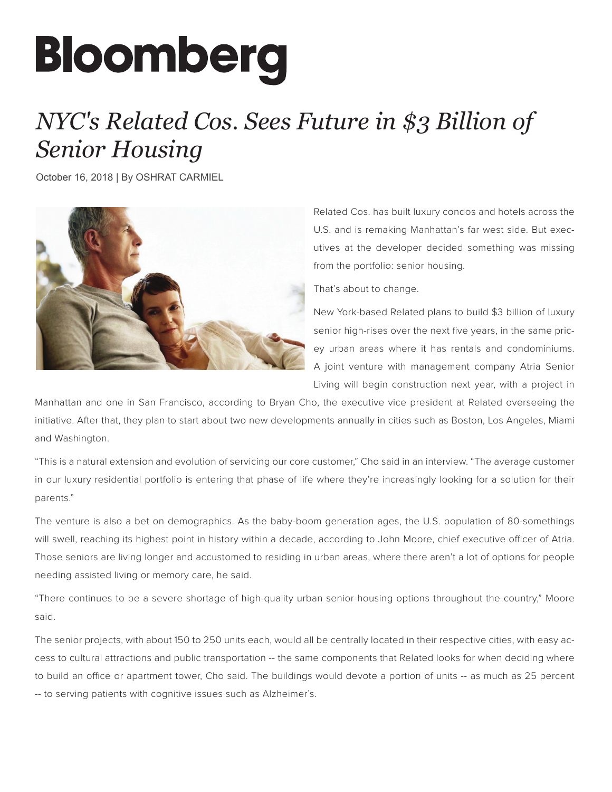## **Bloomberg**

## *NYC's Related Cos. Sees Future in \$3 Billion of Senior Housing*

October 16, 2018 | By OSHRAT CARMIEL



Related Cos. has built luxury condos and hotels across the U.S. and is remaking Manhattan's far west side. But executives at the developer decided something was missing from the portfolio: senior housing.

That's about to change.

New York-based Related plans to build \$3 billion of luxury senior high-rises over the next five years, in the same pricey urban areas where it has rentals and condominiums. A joint venture with management company Atria Senior Living will begin construction next year, with a project in

Manhattan and one in San Francisco, according to Bryan Cho, the executive vice president at Related overseeing the initiative. After that, they plan to start about two new developments annually in cities such as Boston, Los Angeles, Miami and Washington.

"This is a natural extension and evolution of servicing our core customer," Cho said in an interview. "The average customer in our luxury residential portfolio is entering that phase of life where they're increasingly looking for a solution for their parents."

The venture is also a bet on demographics. As the baby-boom generation ages, the U.S. population of 80-somethings will swell, reaching its highest point in history within a decade, according to John Moore, chief executive officer of Atria. Those seniors are living longer and accustomed to residing in urban areas, where there aren't a lot of options for people needing assisted living or memory care, he said.

"There continues to be a severe shortage of high-quality urban senior-housing options throughout the country," Moore said.

The senior projects, with about 150 to 250 units each, would all be centrally located in their respective cities, with easy access to cultural attractions and public transportation -- the same components that Related looks for when deciding where to build an office or apartment tower, Cho said. The buildings would devote a portion of units -- as much as 25 percent -- to serving patients with cognitive issues such as Alzheimer's.